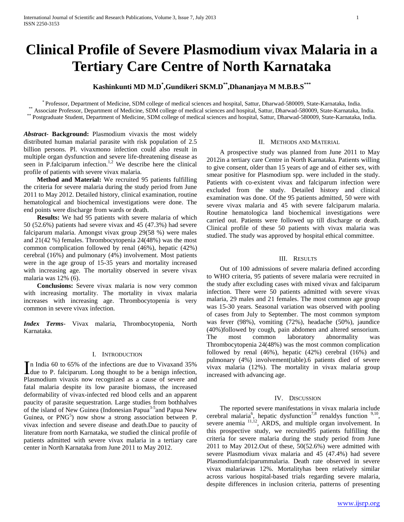# **Clinical Profile of Severe Plasmodium vivax Malaria in a Tertiary Care Centre of North Karnataka**

# **Kashinkunti MD M.D\* ,Gundikeri SKM.D\*\*,Dhananjaya M M.B.B.S\*\*\***

\* Professor, Department of Medicine, SDM college of medical sciences and hospital, Sattur, Dharwad-580009, State-Karnataka, India. \*\* Associate Professor, Department of Medicine, SDM college of medical sciences and hospital, Sattur, Dharwad-580009, State-Karnataka, India. \*\* Postgraduate Student, Department of Medicine, SDM college of medical sciences and hospital, Sattur, Dharwad-580009, State-Karnataka, India.

*Abstract***- Background:** Plasmodium vivaxis the most widely distributed human malarial parasite with risk population of 2.5 billion persons. Pl. vivaxmono infection could also result in multiple organ dysfunction and severe life-threatening disease as seen in P.falciparum infection.<sup>1,2</sup> We describe here the clinical profile of patients with severe vivax malaria.

 **Method and Material:** We recruited 95 patients fulfilling the criteria for severe malaria during the study period from June 2011 to May 2012. Detailed history, clinical examination, routine hematological and biochemical investigations were done. The end points were discharge from wards or death.

 **Results:** We had 95 patients with severe malaria of which 50 (52.6%) patients had severe vivax and 45 (47.3%) had severe falciparum malaria. Amongst vivax group 29(58 %) were males and 21(42 %) females. Thrombocytopenia 24(48%) was the most common complication followed by renal (46%), hepatic (42%) cerebral (16%) and pulmonary (4%) involvement. Most patients were in the age group of 15-35 years and mortality increased with increasing age. The mortality observed in severe vivax malaria was 12% (6).

 **Conclusions:** Severe vivax malaria is now very common with increasing mortality. The mortality in vivax malaria increases with increasing age. Thrombocytopenia is very common in severe vivax infection.

*Index Terms*- Vivax malaria, Thrombocytopenia, North Karnataka.

### I. INTRODUCTION

n India 60 to 65% of the infections are due to Vivaxand 35% In India 60 to 65% of the infections are due to Vivaxand 35% due to P. falciparum. Long thought to be a benign infection, Plasmodium vivaxis now recognized as a cause of severe and fatal malaria despite its low parasite biomass, the increased deformability of vivax-infected red blood cells and an apparent paucity of parasite sequestration. Large studies from bothhalves of the island of New Guinea (Indonesian Papua<sup>3-5</sup> and Papua New Guinea, or  $PNG<sup>5</sup>$ ) now show a strong association between P. vivax infection and severe disease and death.Due to paucity of literature from north Karnataka, we studied the clinical profile of patients admitted with severe vivax malaria in a tertiary care center in North Karnataka from June 2011 to May 2012.

## II. METHODS AND MATERIAL

 A prospective study was planned from June 2011 to May 2012in a tertiary care Centre in North Karnataka. Patients willing to give consent, older than 15 years of age and of either sex, with smear positive for Plasmodium spp. were included in the study. Patients with co-existent vivax and falciparum infection were excluded from the study. Detailed history and clinical examination was done. Of the 95 patients admitted, 50 were with severe vivax malaria and 45 with severe falciparum malaria. Routine hematologica land biochemical investigations were carried out. Patients were followed up till discharge or death. Clinical profile of these 50 patients with vivax malaria was studied. The study was approved by hospital ethical committee.

#### III. RESULTS

 Out of 100 admissions of severe malaria defined according to WHO criteria, 95 patients of severe malaria were recruited in the study after excluding cases with mixed vivax and falciparum infection. There were 50 patients admitted with severe vivax malaria, 29 males and 21 females. The most common age group was 15-30 years. Seasonal variation was observed with pooling of cases from July to September. The most common symptom was fever (98%), vomiting (72%), headache (50%), jaundice (40%)followed by cough, pain abdomen and altered sensorium. The most common laboratory abnormality was Thrombocytopenia 24(48%) was the most common complication followed by renal (46%), hepatic (42%) cerebral (16%) and pulmonary (4%) involvement(table).6 patients died of severe vivax malaria (12%). The mortality in vivax malaria group increased with advancing age.

### IV. DISCUSSION

 The reported severe manifestations in vivax malaria include cerebral malaria<sup>6</sup>, hepatic dysfunction<sup>7,8</sup> renaldys function  $9,10$ , severe anemia <sup>11,12</sup>, ARDS, and multiple organ involvement. In this prospective study, we recruited95 patients fulfilling the criteria for severe malaria during the study period from June 2011 to May 2012.Out of these, 50(52.6%) were admitted with severe Plasmodium vivax malaria and 45 (47.4%) had severe Plasmodiumfalciparummalaria. Death rate observed in severe vivax malariawas 12%. Mortalityhas been relatively similar across various hospital-based trials regarding severe malaria, despite differences in inclusion criteria, patterns of presenting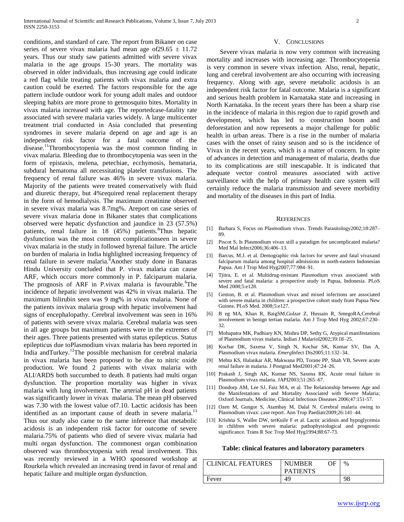conditions, and standard of care. The report from Bikaner on case series of severe vivax malaria had mean age of 29.65  $\pm$  11.72 years. Thus our study saw patients admitted with severe vivax malaria in the age groups 15-30 years. The mortality was observed in older individuals, thus increasing age could indicate a red flag while treating patients with vivax malaria and extra caution could be exerted. The factors responsible for the age pattern include outdoor work for young adult males and outdoor sleeping habits are more prone to getmosquito bites. Mortality in vivax malaria increased with age. The reportedcase-fatality rate associated with severe malaria varies widely. A large multicenter treatment trial conducted in Asia concluded that presenting syndromes in severe malaria depend on age and age is an independent risk factor for a fatal outcome of the disease.<sup>11</sup>Thrombocytopenia was the most common finding in vivax malaria. Bleeding due to thrombocytopenia was seen in the form of epistaxis, melena, petechiae, ecchymosis, hematuria, subdural hematoma all necessitating platelet transfusions. The frequency of renal failure was 46% in severe vivax malaria. Majority of the patients were treated conservatively with fluid and diuretic therapy, but 4%required renal replacement therapy in the form of hemodialysis. The maximum creatinine observed in severe vivax malaria was 8.7mg%. Areport on case series of severe vivax malaria done in Bikaner states that complications observed were hepatic dysfunction and jaundice in 23 (57.5%) patients, renal failure in  $18$  (45%) patients.<sup>8</sup>Thus hepatic dysfunction was the most common complicationseen in severe vivax malaria in the study in followed byrenal failure. The article on burden of malaria in India highlighted increasing frequency of renal failure in severe malaria.<sup>8</sup>Another study done in Banaras Hindu University concluded that P. vivax malaria can cause ARF, which occurs more commonly in P. falciparum malaria. The prognosis of ARF in P.vivax malaria is favourable.<sup>6</sup>The incidence of hepatic involvement was 42% in vivax malaria. The maximum bilirubin seen was 9 mg% in vivax malaria. None of the patients invivax malaria group with hepatic involvement had signs of encephalopathy. Cerebral involvement was seen in 16% of patients with severe vivax malaria. Cerebral malaria was seen in all age groups but maximum patients were in the extremes of their ages. Three patients presented with status epilepticus. Status epilepticus due toPlasmodium vivax malaria has been reported in India andTurkey.<sup>12</sup>The possible mechanism for cerebral malaria in vivax malaria has been proposed to be due to nitric oxide production. We found 2 patients with vivax malaria with ALI/ARDS both succumbed to death. 8 patients had multi organ dysfunction. The proportion mortality was higher in vivax malaria with lung involvement. The arterial pH in dead patients was significantly lower in vivax malaria. The mean pH observed was 7.30 with the lowest value of7.10. Lactic acidosis has been identified as an important cause of death in severe malaria.<sup>13</sup> Thus our study also came to the same inference that metabolic acidosis is an independent risk factor for outcome of severe malaria.75% of patients who died of severe vivax malaria had multi organ dysfunction. The commonest organ combination observed was thrombocytopenia with renal involvement. This was recently reviewed in a WHO sponsored workshop at Rourkela which revealed an increasing trend in favor of renal and hepatic failure and multiple organ dysfunction.

#### V. CONCLUSIONS

 Severe vivax malaria is now very common with increasing mortality and increases with increasing age. Thrombocytopenia is very common in severe vivax infection. Also, renal, hepatic, lung and cerebral involvement are also occurring with increasing frequency. Along with age, severe metabolic acidosis is an independent risk factor for fatal outcome. Malaria is a significant and serious health problem in Karnataka state and increasing in North Karnataka. In the recent years there has been a sharp rise in the incidence of malaria in this region due to rapid growth and development, which has led to construction boom and deforestation and now represents a major challenge for public health in urban areas. There is a rise in the number of malaria cases with the onset of rainy season and so is the incidence of Vivax in the recent years, which is a matter of concern. In spite of advances in detection and management of malaria, deaths due to its complications are still inescapable. It is indicated that adequate vector control measures associated with active surveillance with the help of primary health care system will certainly reduce the malaria transmission and severe morbidity and mortality of the diseases in this part of India.

#### **REFERENCES**

- [1] Barbara S, Focus on Plasmodium vivax. Trends Parasitology2002;18:287– 89.
- [2] Piscot S, Is Plasmodium vivax still a paradigm for uncomplicated malaria? Med Mal Infect2006;36:406–13.
- [3] Barcus, M.J. et al. Demographic risk factors for severe and fatal vivaxand falciparum malaria among hospital admissions in north-eastern Indonesian Papua. Am J Trop Med Hyg2007;77:984–91.
- [4] Tjitra, E. et al. Multidrug-resistant Plasmodium vivax associated with severe and fatal malaria: a prospective study in Papua, Indonesia. PLoS Med 2008;5:e128.
- [5] Genton, B. et al. Plasmodium vivax and mixed infections are associated with severe malaria in children: a prospective cohort study from Papua New Guinea. PLoS Med*.* 2008;5:e127.
- [6] B eg MA, Khan R, BaigSM,Gulzar Z, Hussain R, SmegoRA,Cerebral involvement in benign tertian malaria. Am J Trop Med Hyg 2002;67:230– 32.
- [7] Mohapatra MK, Padhiary KN, Mishra DP, Sethy G, Atypical manifestations of Plasmodium vivax malaria. Indian J Malariol2002;39:18–25.
- [8] Kochar DK, Saxena V, Singh N, Kochar SK, Kumar SV, Das A, Plasmodium vivax malaria. *Emerg*Infect Dis2005;11:132–34.
- [9] Mehta KS, Halankar AR, Makwana PD, Torane PP, Shah VB, Severe acute renal failure in malaria. J Postgrad Med2001;47:24–26.
- [10] Prakash J, Singh AK, Kumar NS, Saxena RK, Acute renal failure in Plasmodium vivax malaria. JAPI2003;51:265–67.
- [11] Dondorp AM, Lee SJ, Faiz MA, et al. The Relationship between Age and the Manifestations of and Mortality Associated with Severe Malaria; Oxford Journals, Medicine, Clinical Infectious Diseases 2006;47:151-57.
- [12] Ozen M, Gungor S, Atambay M, Dalal N. Cerebral malaria owing to Plasmodium vivax: case report. Ann Trop Paediatr2009;26:141–44.
- [13] Krishna S, Waller DW, terKuile F et al. Lactic acidosis and hypoglycemia in children with severe malaria: pathophysiological and prognostic significance. Trans R Soc Trop Med Hyg1994;88:67-73.

#### **Table: clinical features and laboratory parameters**

| CLINICAL FEATURES | <b>NUMBER</b>   | ΟF | %  |
|-------------------|-----------------|----|----|
|                   | <b>PATIENTS</b> |    |    |
| Fever             | 49              |    | 98 |